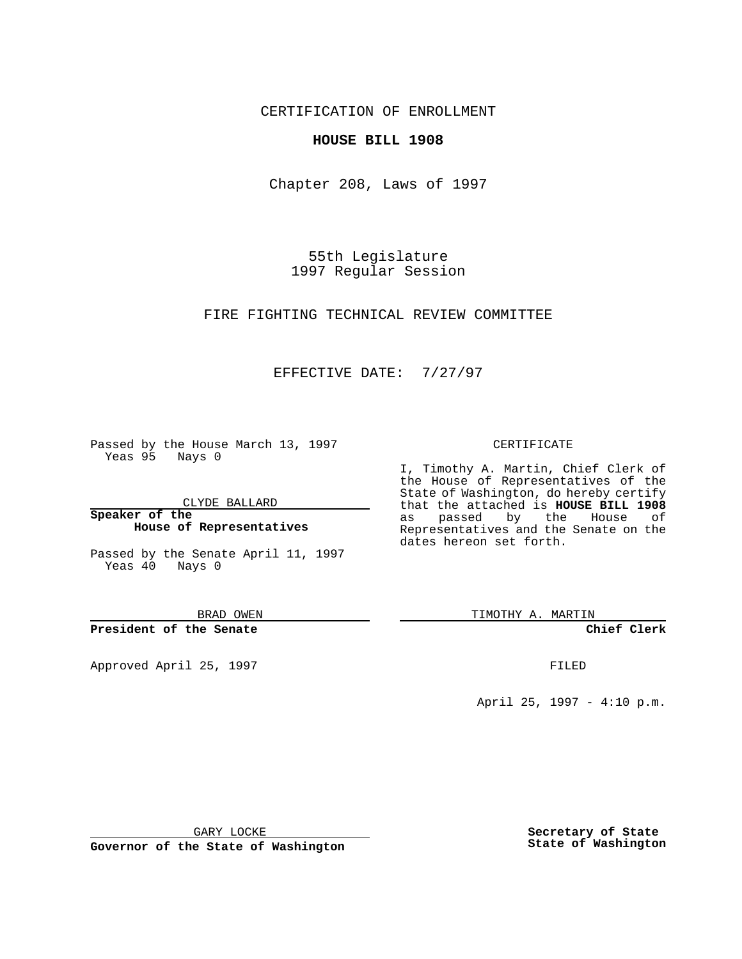CERTIFICATION OF ENROLLMENT

## **HOUSE BILL 1908**

Chapter 208, Laws of 1997

55th Legislature 1997 Regular Session

FIRE FIGHTING TECHNICAL REVIEW COMMITTEE

## EFFECTIVE DATE: 7/27/97

Passed by the House March 13, 1997 Yeas 95 Nays 0

CLYDE BALLARD

**Speaker of the House of Representatives**

Passed by the Senate April 11, 1997 Yeas 40 Nays 0

BRAD OWEN

**President of the Senate**

Approved April 25, 1997 **FILED** 

## CERTIFICATE

I, Timothy A. Martin, Chief Clerk of the House of Representatives of the State of Washington, do hereby certify that the attached is **HOUSE BILL 1908** as passed by the House of Representatives and the Senate on the dates hereon set forth.

TIMOTHY A. MARTIN

**Chief Clerk**

April 25, 1997 - 4:10 p.m.

GARY LOCKE

**Governor of the State of Washington**

**Secretary of State State of Washington**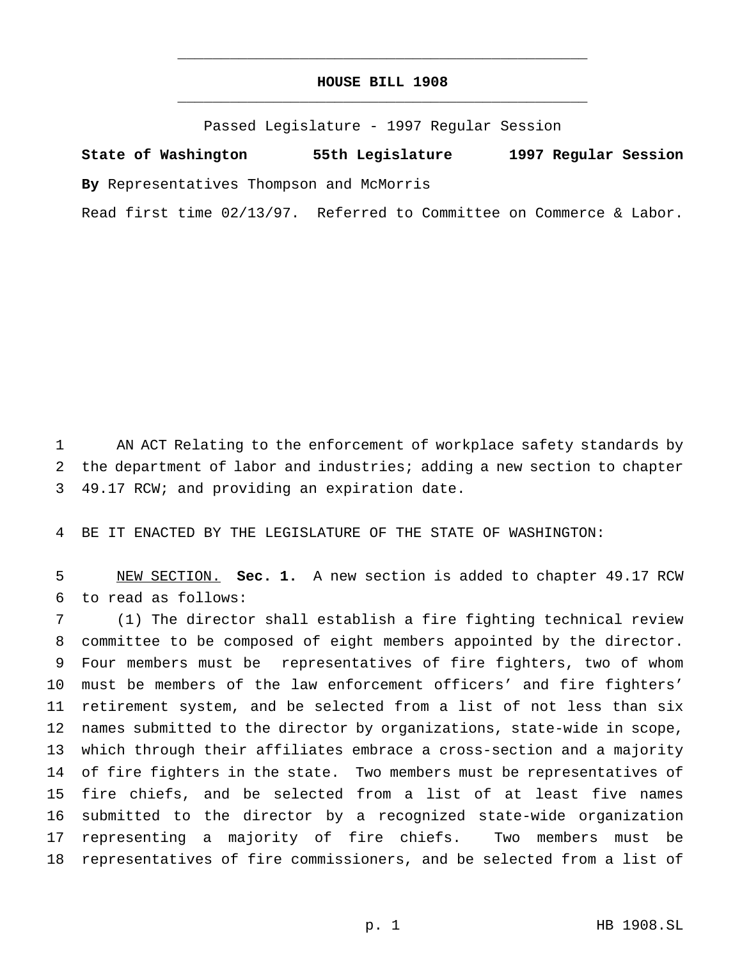## **HOUSE BILL 1908** \_\_\_\_\_\_\_\_\_\_\_\_\_\_\_\_\_\_\_\_\_\_\_\_\_\_\_\_\_\_\_\_\_\_\_\_\_\_\_\_\_\_\_\_\_\_\_

\_\_\_\_\_\_\_\_\_\_\_\_\_\_\_\_\_\_\_\_\_\_\_\_\_\_\_\_\_\_\_\_\_\_\_\_\_\_\_\_\_\_\_\_\_\_\_

Passed Legislature - 1997 Regular Session

**State of Washington 55th Legislature 1997 Regular Session By** Representatives Thompson and McMorris

Read first time 02/13/97. Referred to Committee on Commerce & Labor.

 AN ACT Relating to the enforcement of workplace safety standards by the department of labor and industries; adding a new section to chapter 49.17 RCW; and providing an expiration date.

BE IT ENACTED BY THE LEGISLATURE OF THE STATE OF WASHINGTON:

 NEW SECTION. **Sec. 1.** A new section is added to chapter 49.17 RCW to read as follows:

 (1) The director shall establish a fire fighting technical review committee to be composed of eight members appointed by the director. Four members must be representatives of fire fighters, two of whom must be members of the law enforcement officers' and fire fighters' retirement system, and be selected from a list of not less than six names submitted to the director by organizations, state-wide in scope, which through their affiliates embrace a cross-section and a majority of fire fighters in the state. Two members must be representatives of fire chiefs, and be selected from a list of at least five names submitted to the director by a recognized state-wide organization representing a majority of fire chiefs. Two members must be representatives of fire commissioners, and be selected from a list of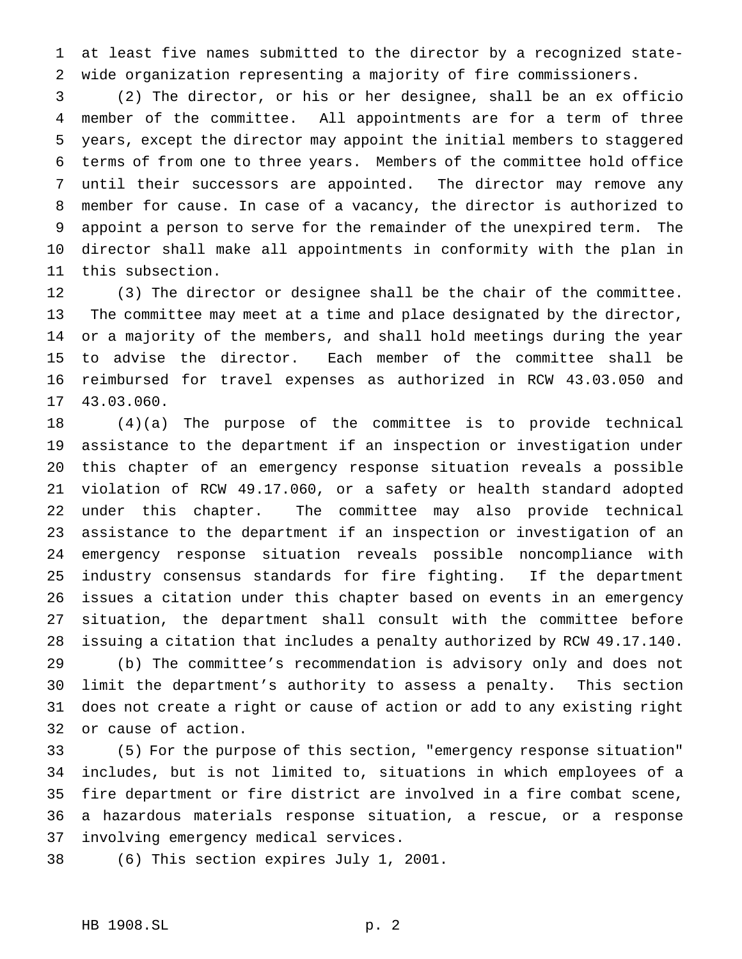at least five names submitted to the director by a recognized state-wide organization representing a majority of fire commissioners.

 (2) The director, or his or her designee, shall be an ex officio member of the committee. All appointments are for a term of three years, except the director may appoint the initial members to staggered terms of from one to three years. Members of the committee hold office until their successors are appointed. The director may remove any member for cause. In case of a vacancy, the director is authorized to appoint a person to serve for the remainder of the unexpired term. The director shall make all appointments in conformity with the plan in this subsection.

 (3) The director or designee shall be the chair of the committee. The committee may meet at a time and place designated by the director, or a majority of the members, and shall hold meetings during the year to advise the director. Each member of the committee shall be reimbursed for travel expenses as authorized in RCW 43.03.050 and 43.03.060.

 (4)(a) The purpose of the committee is to provide technical assistance to the department if an inspection or investigation under this chapter of an emergency response situation reveals a possible violation of RCW 49.17.060, or a safety or health standard adopted under this chapter. The committee may also provide technical assistance to the department if an inspection or investigation of an emergency response situation reveals possible noncompliance with industry consensus standards for fire fighting. If the department issues a citation under this chapter based on events in an emergency situation, the department shall consult with the committee before issuing a citation that includes a penalty authorized by RCW 49.17.140.

 (b) The committee's recommendation is advisory only and does not limit the department's authority to assess a penalty. This section does not create a right or cause of action or add to any existing right or cause of action.

 (5) For the purpose of this section, "emergency response situation" includes, but is not limited to, situations in which employees of a fire department or fire district are involved in a fire combat scene, a hazardous materials response situation, a rescue, or a response involving emergency medical services.

(6) This section expires July 1, 2001.